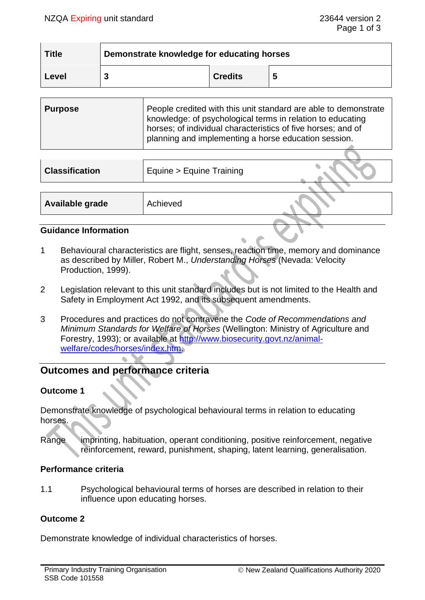| <b>Title</b> | Demonstrate knowledge for educating horses |                |   |
|--------------|--------------------------------------------|----------------|---|
| Level        |                                            | <b>Credits</b> | 5 |

| <b>Purpose</b> | People credited with this unit standard are able to demonstrate<br>knowledge: of psychological terms in relation to educating<br>horses; of individual characteristics of five horses; and of |
|----------------|-----------------------------------------------------------------------------------------------------------------------------------------------------------------------------------------------|
|                | planning and implementing a horse education session.                                                                                                                                          |

| <b>Classification</b> | Equine > Equine Training |  |
|-----------------------|--------------------------|--|
|                       |                          |  |
| Available grade       | Achieved                 |  |
|                       |                          |  |

### **Guidance Information**

- 1 Behavioural characteristics are flight, senses, reaction time, memory and dominance as described by Miller, Robert M., *Understanding Horses* (Nevada: Velocity Production, 1999).
- 2 Legislation relevant to this unit standard includes but is not limited to the Health and Safety in Employment Act 1992, and its subsequent amendments.
- 3 Procedures and practices do not contravene the *Code of Recommendations and Minimum Standards for Welfare of Horses* (Wellington: Ministry of Agriculture and Forestry, 1993); or available at [http://www.biosecurity.govt.nz/animal](http://www.biosecurity.govt.nz/animal-welfare/codes/horses/index.htm)[welfare/codes/horses/index.htm.](http://www.biosecurity.govt.nz/animal-welfare/codes/horses/index.htm)

# **Outcomes and performance criteria**

# **Outcome 1**

Demonstrate knowledge of psychological behavioural terms in relation to educating horses.

Range imprinting, habituation, operant conditioning, positive reinforcement, negative reinforcement, reward, punishment, shaping, latent learning, generalisation.

#### **Performance criteria**

1.1 Psychological behavioural terms of horses are described in relation to their influence upon educating horses.

# **Outcome 2**

Demonstrate knowledge of individual characteristics of horses.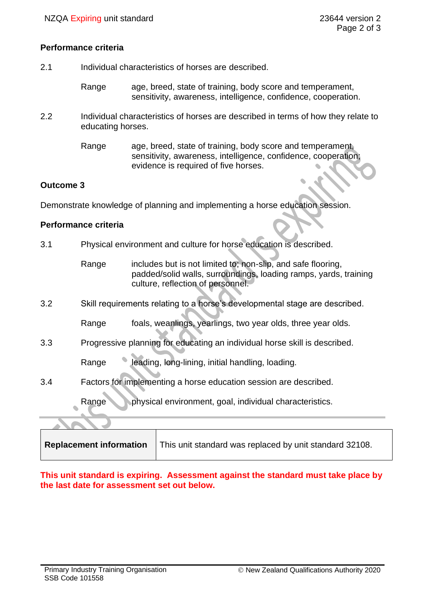### **Performance criteria**

- 2.1 Individual characteristics of horses are described.
	- Range age, breed, state of training, body score and temperament, sensitivity, awareness, intelligence, confidence, cooperation.
- 2.2 Individual characteristics of horses are described in terms of how they relate to educating horses.
	- Range age, breed, state of training, body score and temperament, sensitivity, awareness, intelligence, confidence, cooperation; evidence is required of five horses.

# **Outcome 3**

Demonstrate knowledge of planning and implementing a horse education session.

### **Performance criteria**

- 3.1 Physical environment and culture for horse education is described.
	- Range includes but is not limited to; non-slip, and safe flooring, padded/solid walls, surroundings, loading ramps, yards, training culture, reflection of personnel.
- 3.2 Skill requirements relating to a horse's developmental stage are described.
	- Range foals, weanlings, yearlings, two year olds, three year olds.
- 3.3 Progressive planning for educating an individual horse skill is described.

Range leading, long-lining, initial handling, loading.

3.4 Factors for implementing a horse education session are described.

Range physical environment, goal, individual characteristics.

| Replacement information<br>This unit standard was replaced by unit standard 32108. |
|------------------------------------------------------------------------------------|
|------------------------------------------------------------------------------------|

**This unit standard is expiring. Assessment against the standard must take place by the last date for assessment set out below.**